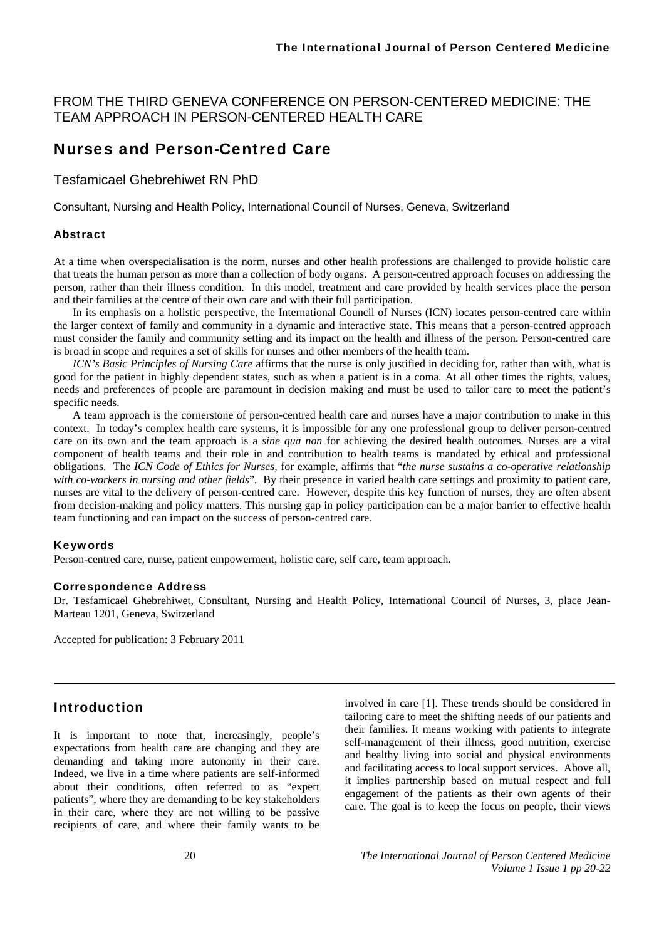#### FROM THE THIRD GENEVA CONFERENCE ON PERSON-CENTERED MEDICINE: THE TEAM APPROACH IN PERSON-CENTERED HEALTH CARE

# Nurses and Person-Centred Care

#### Tesfamicael Ghebrehiwet RN PhD

Consultant, Nursing and Health Policy, International Council of Nurses, Geneva, Switzerland

#### Abstract

At a time when overspecialisation is the norm, nurses and other health professions are challenged to provide holistic care that treats the human person as more than a collection of body organs. A person-centred approach focuses on addressing the person, rather than their illness condition. In this model, treatment and care provided by health services place the person and their families at the centre of their own care and with their full participation.

In its emphasis on a holistic perspective, the International Council of Nurses (ICN) locates person-centred care within the larger context of family and community in a dynamic and interactive state. This means that a person-centred approach must consider the family and community setting and its impact on the health and illness of the person. Person-centred care is broad in scope and requires a set of skills for nurses and other members of the health team.

*ICN's Basic Principles of Nursing Care* affirms that the nurse is only justified in deciding for, rather than with, what is good for the patient in highly dependent states, such as when a patient is in a coma. At all other times the rights, values, needs and preferences of people are paramount in decision making and must be used to tailor care to meet the patient's specific needs.

A team approach is the cornerstone of person-centred health care and nurses have a major contribution to make in this context. In today's complex health care systems, it is impossible for any one professional group to deliver person-centred care on its own and the team approach is a *sine qua non* for achieving the desired health outcomes. Nurses are a vital component of health teams and their role in and contribution to health teams is mandated by ethical and professional obligations. The *ICN Code of Ethics for Nurses,* for example, affirms that "*the nurse sustains a co-operative relationship with co-workers in nursing and other fields*". By their presence in varied health care settings and proximity to patient care, nurses are vital to the delivery of person-centred care. However, despite this key function of nurses, they are often absent from decision-making and policy matters. This nursing gap in policy participation can be a major barrier to effective health team functioning and can impact on the success of person-centred care.

#### Keywords

Person-centred care, nurse, patient empowerment, holistic care, self care, team approach.

#### Correspondence Address

Dr. Tesfamicael Ghebrehiwet, Consultant, Nursing and Health Policy, International Council of Nurses, 3, place Jean-Marteau 1201, Geneva, Switzerland

Accepted for publication: 3 February 2011

### Introduction

It is important to note that, increasingly, people's expectations from health care are changing and they are demanding and taking more autonomy in their care. Indeed, we live in a time where patients are self-informed about their conditions, often referred to as "expert patients", where they are demanding to be key stakeholders in their care, where they are not willing to be passive recipients of care, and where their family wants to be

involved in care [1]. These trends should be considered in tailoring care to meet the shifting needs of our patients and their families. It means working with patients to integrate self-management of their illness, good nutrition, exercise and healthy living into social and physical environments and facilitating access to local support services. Above all, it implies partnership based on mutual respect and full engagement of the patients as their own agents of their care. The goal is to keep the focus on people, their views

20 *The International Journal of Person Centered Medicine Volume 1 Issue 1 pp 20-22*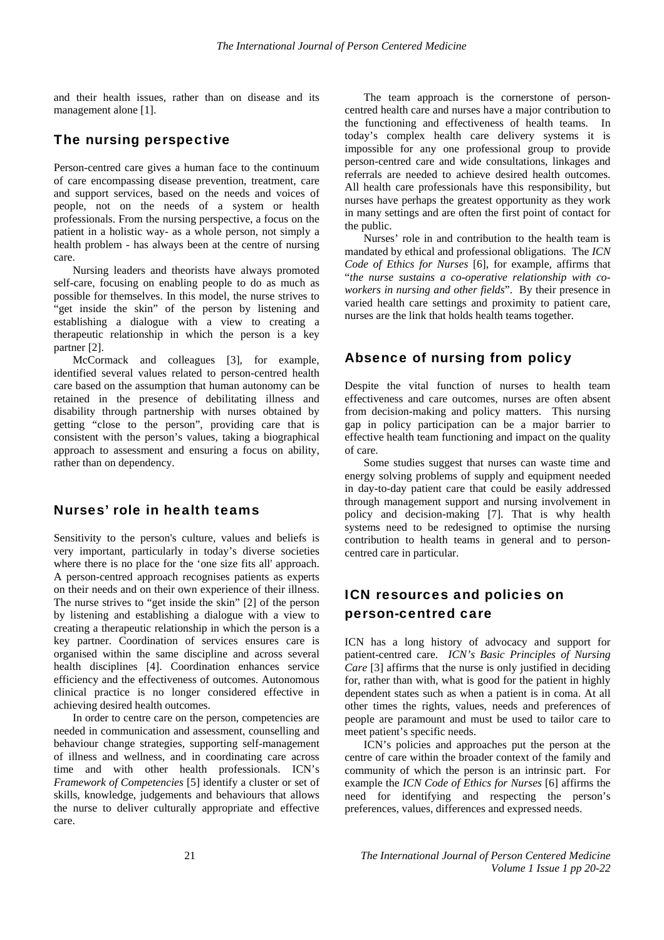and their health issues, rather than on disease and its management alone [1].

#### The nursing perspective

Person-centred care gives a human face to the continuum of care encompassing disease prevention, treatment, care and support services, based on the needs and voices of people, not on the needs of a system or health professionals. From the nursing perspective, a focus on the patient in a holistic way- as a whole person, not simply a health problem - has always been at the centre of nursing care.

Nursing leaders and theorists have always promoted self-care, focusing on enabling people to do as much as possible for themselves. In this model, the nurse strives to "get inside the skin" of the person by listening and establishing a dialogue with a view to creating a therapeutic relationship in which the person is a key partner [2].

McCormack and colleagues [3], for example, identified several values related to person-centred health care based on the assumption that human autonomy can be retained in the presence of debilitating illness and disability through partnership with nurses obtained by getting "close to the person", providing care that is consistent with the person's values, taking a biographical approach to assessment and ensuring a focus on ability, rather than on dependency.

#### Nurses' role in health teams

Sensitivity to the person's culture, values and beliefs is very important, particularly in today's diverse societies where there is no place for the 'one size fits all' approach. A person-centred approach recognises patients as experts on their needs and on their own experience of their illness. The nurse strives to "get inside the skin" [2] of the person by listening and establishing a dialogue with a view to creating a therapeutic relationship in which the person is a key partner. Coordination of services ensures care is organised within the same discipline and across several health disciplines [4]. Coordination enhances service efficiency and the effectiveness of outcomes. Autonomous clinical practice is no longer considered effective in achieving desired health outcomes.

In order to centre care on the person, competencies are needed in communication and assessment, counselling and behaviour change strategies, supporting self-management of illness and wellness, and in coordinating care across time and with other health professionals. ICN's *Framework of Competencies* [5] identify a cluster or set of skills, knowledge, judgements and behaviours that allows the nurse to deliver culturally appropriate and effective care.

The team approach is the cornerstone of personcentred health care and nurses have a major contribution to the functioning and effectiveness of health teams. In today's complex health care delivery systems it is impossible for any one professional group to provide person-centred care and wide consultations, linkages and referrals are needed to achieve desired health outcomes. All health care professionals have this responsibility, but nurses have perhaps the greatest opportunity as they work in many settings and are often the first point of contact for the public.

Nurses' role in and contribution to the health team is mandated by ethical and professional obligations. The *ICN Code of Ethics for Nurses* [6], for example, affirms that "*the nurse sustains a co-operative relationship with coworkers in nursing and other fields*". By their presence in varied health care settings and proximity to patient care, nurses are the link that holds health teams together.

## Absence of nursing from policy

Despite the vital function of nurses to health team effectiveness and care outcomes, nurses are often absent from decision-making and policy matters. This nursing gap in policy participation can be a major barrier to effective health team functioning and impact on the quality of care.

Some studies suggest that nurses can waste time and energy solving problems of supply and equipment needed in day-to-day patient care that could be easily addressed through management support and nursing involvement in policy and decision-making [7]. That is why health systems need to be redesigned to optimise the nursing contribution to health teams in general and to personcentred care in particular.

# ICN resources and policies on person-centred care

ICN has a long history of advocacy and support for patient-centred care. *ICN's Basic Principles of Nursing Care* [3] affirms that the nurse is only justified in deciding for, rather than with, what is good for the patient in highly dependent states such as when a patient is in coma. At all other times the rights, values, needs and preferences of people are paramount and must be used to tailor care to meet patient's specific needs.

ICN's policies and approaches put the person at the centre of care within the broader context of the family and community of which the person is an intrinsic part. For example the *ICN Code of Ethics for Nurses* [6] affirms the need for identifying and respecting the person's preferences, values, differences and expressed needs.

21 *The International Journal of Person Centered Medicine Volume 1 Issue 1 pp 20-22*